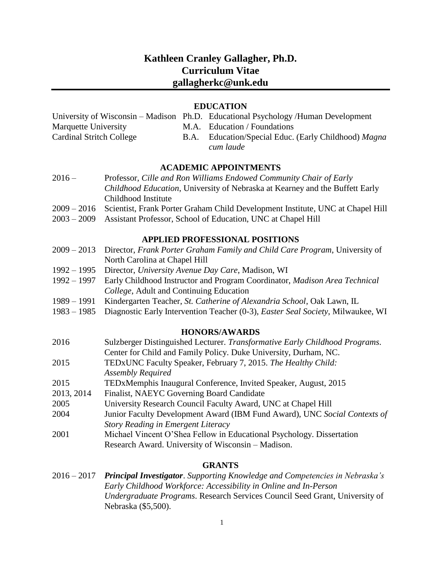# **Kathleen Cranley Gallagher, Ph.D. Curriculum Vitae gallagherkc@unk.edu**

#### **EDUCATION**

|                                 | University of Wisconsin – Madison Ph.D. Educational Psychology /Human Development |
|---------------------------------|-----------------------------------------------------------------------------------|
| Marquette University            | M.A. Education / Foundations                                                      |
| <b>Cardinal Stritch College</b> | B.A. Education/Special Educ. (Early Childhood) Magna                              |
|                                 | cum laude                                                                         |

#### **ACADEMIC APPOINTMENTS**

| $2016 -$ | Professor, Cille and Ron Williams Endowed Community Chair of Early           |
|----------|------------------------------------------------------------------------------|
|          | Childhood Education, University of Nebraska at Kearney and the Buffett Early |
|          | Childhood Institute                                                          |
|          |                                                                              |

- 2009 2016 Scientist, Frank Porter Graham Child Development Institute, UNC at Chapel Hill
- 2003 2009 Assistant Professor, School of Education, UNC at Chapel Hill

## **APPLIED PROFESSIONAL POSITIONS**

- 2009 2013 Director, *Frank Porter Graham Family and Child Care Program*, University of North Carolina at Chapel Hill
- 1992 1995 Director, *University Avenue Day Care*, Madison, WI
- 1992 1997 Early Childhood Instructor and Program Coordinator, *Madison Area Technical College*, Adult and Continuing Education
- 1989 1991 Kindergarten Teacher, *St. Catherine of Alexandria School*, Oak Lawn, IL
- 1983 1985 Diagnostic Early Intervention Teacher (0-3), *Easter Seal Society*, Milwaukee, WI

#### **HONORS/AWARDS**

- 2016 Sulzberger Distinguished Lecturer. *Transformative Early Childhood Programs*. Center for Child and Family Policy. Duke University, Durham, NC.
- 2015 TEDxUNC Faculty Speaker, February 7, 2015. *The Healthy Child: Assembly Required*
- 2015 TEDxMemphis Inaugural Conference, Invited Speaker, August, 2015
- 2013, 2014 Finalist, NAEYC Governing Board Candidate
- 2005 University Research Council Faculty Award, UNC at Chapel Hill
- 2004 Junior Faculty Development Award (IBM Fund Award), UNC *Social Contexts of Story Reading in Emergent Literacy*
- 2001 Michael Vincent O'Shea Fellow in Educational Psychology. Dissertation Research Award. University of Wisconsin – Madison.

# **GRANTS**

2016 – 2017 *Principal Investigator*. *Supporting Knowledge and Competencies in Nebraska's Early Childhood Workforce: Accessibility in Online and In-Person Undergraduate Programs*. Research Services Council Seed Grant, University of Nebraska (\$5,500).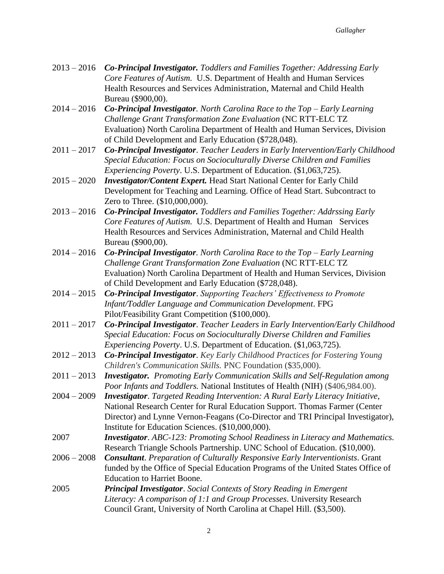- 2013 2016 *Co-Principal Investigator. Toddlers and Families Together: Addressing Early Core Features of Autism.* U.S. Department of Health and Human Services Health Resources and Services Administration, Maternal and Child Health Bureau (\$900,00).
- 2014 2016 *Co-Principal Investigator. North Carolina Race to the Top – Early Learning Challenge Grant Transformation Zone Evaluation* (NC RTT-ELC TZ Evaluation) North Carolina Department of Health and Human Services, Division of Child Development and Early Education (\$728,048).
- 2011 2017 *Co-Principal Investigator*. *Teacher Leaders in Early Intervention/Early Childhood Special Education: Focus on Socioculturally Diverse Children and Families Experiencing Poverty*. U.S. Department of Education. (\$1,063,725).
- 2015 2020 *Investigator/Content Expert.* Head Start National Center for Early Child Development for Teaching and Learning. Office of Head Start. Subcontract to Zero to Three. (\$10,000,000).
- 2013 2016 *Co-Principal Investigator. Toddlers and Families Together: Addrssing Early Core Features of Autism.* U.S. Department of Health and Human Services Health Resources and Services Administration, Maternal and Child Health Bureau (\$900,00).
- 2014 2016 *Co-Principal Investigator. North Carolina Race to the Top – Early Learning Challenge Grant Transformation Zone Evaluation* (NC RTT-ELC TZ Evaluation) North Carolina Department of Health and Human Services, Division of Child Development and Early Education (\$728,048).
- 2014 2015 *Co-Principal Investigator*. *Supporting Teachers' Effectiveness to Promote Infant/Toddler Language and Communication Development*. FPG Pilot/Feasibility Grant Competition (\$100,000).
- 2011 2017 *Co-Principal Investigator*. *Teacher Leaders in Early Intervention/Early Childhood Special Education: Focus on Socioculturally Diverse Children and Families Experiencing Poverty*. U.S. Department of Education. (\$1,063,725).
- 2012 2013 *Co-Principal Investigator*. *Key Early Childhood Practices for Fostering Young Children's Communication Skills.* PNC Foundation (\$35,000).
- 2011 2013 *Investigator. Promoting Early Communication Skills and Self-Regulation among Poor Infants and Toddlers.* National Institutes of Health (NIH) (\$406,984.00).
- 2004 2009 *Investigator*. *Targeted Reading Intervention: A Rural Early Literacy Initiative*, National Research Center for Rural Education Support. Thomas Farmer (Center Director) and Lynne Vernon-Feagans (Co-Director and TRI Principal Investigator), Institute for Education Sciences. (\$10,000,000).
- 2007 *Investigator*. *ABC-123: Promoting School Readiness in Literacy and Mathematics.* Research Triangle Schools Partnership. UNC School of Education. (\$10,000).
- 2006 2008 *Consultant*. *Preparation of Culturally Responsive Early Interventionists*. Grant funded by the Office of Special Education Programs of the United States Office of Education to Harriet Boone.
- 2005 *Principal Investigator*. *Social Contexts of Story Reading in Emergent Literacy: A comparison of 1:1 and Group Processes*. University Research Council Grant, University of North Carolina at Chapel Hill. (\$3,500).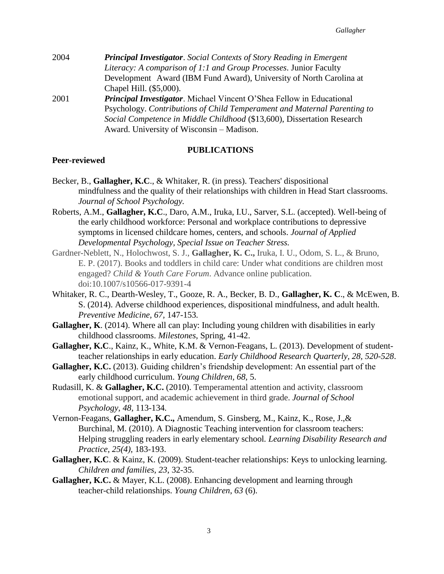| 2004 | <b>Principal Investigator.</b> Social Contexts of Story Reading in Emergent |
|------|-----------------------------------------------------------------------------|
|      | Literacy: A comparison of 1:1 and Group Processes. Junior Faculty           |
|      | Development Award (IBM Fund Award), University of North Carolina at         |
|      | Chapel Hill. (\$5,000).                                                     |
| 2001 | <b>Principal Investigator.</b> Michael Vincent O'Shea Fellow in Educational |
|      | Psychology. Contributions of Child Temperament and Maternal Parenting to    |
|      | Social Competence in Middle Childhood (\$13,600), Dissertation Research     |
|      | Award. University of Wisconsin – Madison.                                   |

## **PUBLICATIONS**

#### **Peer-reviewed**

- Becker, B., **Gallagher, K.C**., & Whitaker, R. (in press). Teachers' dispositional mindfulness and the quality of their relationships with children in Head Start classrooms. *Journal of School Psychology.*
- Roberts, A.M., **Gallagher, K.C**., Daro, A.M., Iruka, I.U., Sarver, S.L. (accepted). Well-being of the early childhood workforce: Personal and workplace contributions to depressive symptoms in licensed childcare homes, centers, and schools. *Journal of Applied Developmental Psychology, Special Issue on Teacher Stress.*
- Gardner-Neblett, N., Holochwost, S. J., **Gallagher, K. C.,** Iruka, I. U., Odom, S. L., & Bruno, E. P. (2017). Books and toddlers in child care: Under what conditions are children most engaged? *Child & Youth Care Forum*. Advance online publication. doi:10.1007/s10566-017-9391-4
- Whitaker, R. C., Dearth-Wesley, T., Gooze, R. A., Becker, B. D., **Gallagher, K. C**., & McEwen, B. S. (2014). Adverse childhood experiences, dispositional mindfulness, and adult health. *Preventive Medicine, 67,* 147-153*.*
- **Gallagher, K**. (2014). Where all can play: Including young children with disabilities in early childhood classrooms. *Milestones*, Spring, 41-42.
- **Gallagher, K.C**., Kainz, K., White, K.M. & Vernon-Feagans, L. (2013). Development of studentteacher relationships in early education. *Early Childhood Research Quarterly, 28, 520-528*.
- **Gallagher, K.C.** (2013). Guiding children's friendship development: An essential part of the early childhood curriculum. *Young Children, 68,* 5.
- Rudasill, K. & **Gallagher, K.C.** (2010). Temperamental attention and activity, classroom emotional support, and academic achievement in third grade. *Journal of School Psychology, 48,* 113-134*.*
- Vernon-Feagans, **Gallagher, K.C.,** Amendum, S. Ginsberg, M., Kainz, K., Rose, J.,& Burchinal, M. (2010). A Diagnostic Teaching intervention for classroom teachers: Helping struggling readers in early elementary school*. Learning Disability Research and Practice, 25(4),* 183-193.
- **Gallagher, K.C**. & Kainz, K. (2009). Student-teacher relationships: Keys to unlocking learning. *Children and families, 23*, 32-35.
- **Gallagher, K.C.** & Mayer, K.L. (2008). Enhancing development and learning through teacher-child relationships. *Young Children*, *63* (6).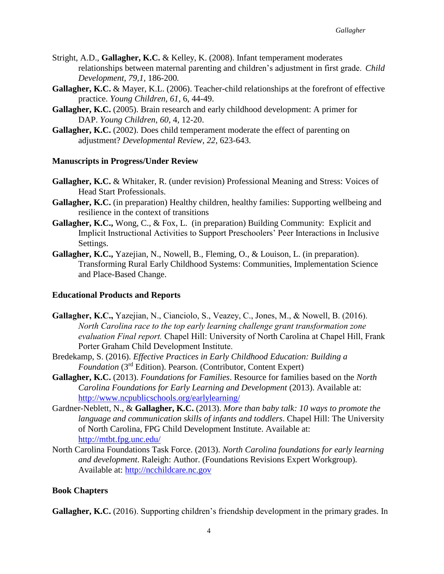- Stright, A.D., **Gallagher, K.C.** & Kelley, K. (2008). Infant temperament moderates relationships between maternal parenting and children's adjustment in first grade. *Child Development, 79,1,* 186-200*.*
- **Gallagher, K.C.** & Mayer, K.L. (2006). Teacher-child relationships at the forefront of effective practice. *Young Children, 61*, 6, 44-49.
- **Gallagher, K.C.** (2005). Brain research and early childhood development: A primer for DAP. *Young Children*, *60,* 4, 12-20.
- **Gallagher, K.C.** (2002). Does child temperament moderate the effect of parenting on adjustment? *Developmental Review*, *22,* 623-643.

#### **Manuscripts in Progress/Under Review**

- **Gallagher, K.C.** & Whitaker, R. (under revision) Professional Meaning and Stress: Voices of Head Start Professionals.
- **Gallagher, K.C.** (in preparation) Healthy children, healthy families: Supporting wellbeing and resilience in the context of transitions
- **Gallagher, K.C.,** Wong, C., & Fox, L. (in preparation) Building Community: Explicit and Implicit Instructional Activities to Support Preschoolers' Peer Interactions in Inclusive Settings.
- **Gallagher, K.C.,** Yazejian, N., Nowell, B., Fleming, O., & Louison, L. (in preparation). Transforming Rural Early Childhood Systems: Communities, Implementation Science and Place-Based Change.

## **Educational Products and Reports**

- **Gallagher, K.C.,** Yazejian, N., Cianciolo, S., Veazey, C., Jones, M., & Nowell, B. (2016). *North Carolina race to the top early learning challenge grant transformation zone evaluation Final report.* Chapel Hill: University of North Carolina at Chapel Hill, Frank Porter Graham Child Development Institute.
- Bredekamp, S. (2016). *Effective Practices in Early Childhood Education: Building a Foundation* (3rd Edition). Pearson. (Contributor, Content Expert)
- **Gallagher, K.C.** (2013). *Foundations for Families*. Resource for families based on the *North Carolina Foundations for Early Learning and Development* (2013). Available at: <http://www.ncpublicschools.org/earlylearning/>
- Gardner-Neblett, N., & **Gallagher, K.C.** (2013). *More than baby talk: 10 ways to promote the language and communication skills of infants and toddlers*. Chapel Hill: The University of North Carolina, FPG Child Development Institute. Available at: <http://mtbt.fpg.unc.edu/>
- North Carolina Foundations Task Force. (2013). *North Carolina foundations for early learning and development*. Raleigh: Author. (Foundations Revisions Expert Workgroup). Available at: [http://ncchildcare.nc.gov](http://ncchildcare.nc.gov/)

# **Book Chapters**

**Gallagher, K.C.** (2016). Supporting children's friendship development in the primary grades. In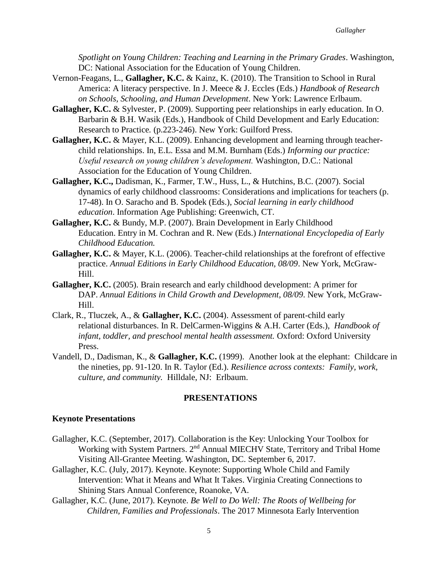*Spotlight on Young Children: Teaching and Learning in the Primary Grades*. Washington, DC: National Association for the Education of Young Children.

- Vernon-Feagans, L., **Gallagher, K.C.** & Kainz, K. (2010). The Transition to School in Rural America: A literacy perspective. In J. Meece & J. Eccles (Eds.) *Handbook of Research on Schools, Schooling, and Human Development*. New York: Lawrence Erlbaum.
- **Gallagher, K.C.** & Sylvester, P. (2009). Supporting peer relationships in early education. In O. Barbarin & B.H. Wasik (Eds.), Handbook of Child Development and Early Education: Research to Practice*.* (p.223-246). New York: Guilford Press.
- **Gallagher, K.C.** & Mayer, K.L. (2009). Enhancing development and learning through teacherchild relationships. In, E.L. Essa and M.M. Burnham (Eds.) *Informing our practice: Useful research on young children's development.* Washington, D.C.: National Association for the Education of Young Children.
- **Gallagher, K.C.,** Dadisman, K., Farmer, T.W., Huss, L., & Hutchins, B.C. (2007). Social dynamics of early childhood classrooms: Considerations and implications for teachers (p. 17-48). In O. Saracho and B. Spodek (Eds.), *Social learning in early childhood education*. Information Age Publishing: Greenwich, CT.
- **Gallagher, K.C.** & Bundy, M.P. (2007). Brain Development in Early Childhood Education. Entry in M. Cochran and R. New (Eds.) *International Encyclopedia of Early Childhood Education.*
- **Gallagher, K.C.** & Mayer, K.L. (2006). Teacher-child relationships at the forefront of effective practice. *Annual Editions in Early Childhood Education, 08/09*. New York, McGraw-Hill.
- **Gallagher, K.C.** (2005). Brain research and early childhood development: A primer for DAP. *Annual Editions in Child Growth and Development, 08/09*. New York, McGraw-Hill.
- Clark, R., Tluczek, A., & **Gallagher, K.C.** (2004). Assessment of parent-child early relational disturbances. In R. DelCarmen-Wiggins & A.H. Carter (Eds.), *Handbook of infant, toddler, and preschool mental health assessment.* Oxford: Oxford University Press.
- Vandell, D., Dadisman, K., & **Gallagher, K.C.** (1999). Another look at the elephant: Childcare in the nineties, pp. 91-120. In R. Taylor (Ed.). *Resilience across contexts: Family, work, culture, and community.* Hilldale, NJ: Erlbaum.

#### **PRESENTATIONS**

#### **Keynote Presentations**

- Gallagher, K.C. (September, 2017). Collaboration is the Key: Unlocking Your Toolbox for Working with System Partners. 2<sup>nd</sup> Annual MIECHV State, Territory and Tribal Home Visiting All-Grantee Meeting. Washington, DC. September 6, 2017.
- Gallagher, K.C. (July, 2017). Keynote. Keynote: Supporting Whole Child and Family Intervention: What it Means and What It Takes. Virginia Creating Connections to Shining Stars Annual Conference, Roanoke, VA.
- Gallagher, K.C. (June, 2017). Keynote. *Be Well to Do Well: The Roots of Wellbeing for Children, Families and Professionals*. The 2017 Minnesota Early Intervention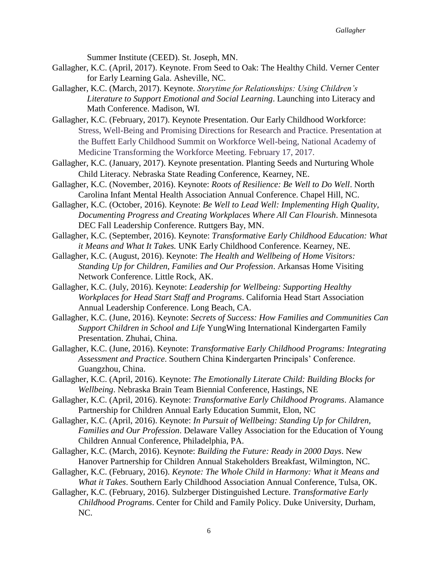Summer Institute (CEED). St. Joseph, MN.

- Gallagher, K.C. (April, 2017). Keynote. From Seed to Oak: The Healthy Child. Verner Center for Early Learning Gala. Asheville, NC.
- Gallagher, K.C. (March, 2017). Keynote. *Storytime for Relationships: Using Children's Literature to Support Emotional and Social Learning*. Launching into Literacy and Math Conference. Madison, WI.
- Gallagher, K.C. (February, 2017). Keynote Presentation. Our Early Childhood Workforce: Stress, Well-Being and Promising Directions for Research and Practice. Presentation at the Buffett Early Childhood Summit on Workforce Well-being, National Academy of Medicine Transforming the Workforce Meeting. February 17, 2017.
- Gallagher, K.C. (January, 2017). Keynote presentation. Planting Seeds and Nurturing Whole Child Literacy. Nebraska State Reading Conference, Kearney, NE.
- Gallagher, K.C. (November, 2016). Keynote: *Roots of Resilience: Be Well to Do Well*. North Carolina Infant Mental Health Association Annual Conference. Chapel Hill, NC.
- Gallagher, K.C. (October, 2016). Keynote: *Be Well to Lead Well: Implementing High Quality, Documenting Progress and Creating Workplaces Where All Can Flourish*. Minnesota DEC Fall Leadership Conference. Ruttgers Bay, MN.
- Gallagher, K.C. (September, 2016). Keynote: *Transformative Early Childhood Education: What it Means and What It Takes.* UNK Early Childhood Conference. Kearney, NE.
- Gallagher, K.C. (August, 2016). Keynote: *The Health and Wellbeing of Home Visitors: Standing Up for Children, Families and Our Profession*. Arkansas Home Visiting Network Conference. Little Rock, AK.
- Gallagher, K.C. (July, 2016). Keynote: *Leadership for Wellbeing: Supporting Healthy Workplaces for Head Start Staff and Programs*. California Head Start Association Annual Leadership Conference. Long Beach, CA.
- Gallagher, K.C. (June, 2016). Keynote: *Secrets of Success: How Families and Communities Can Support Children in School and Life* YungWing International Kindergarten Family Presentation. Zhuhai, China.
- Gallagher, K.C. (June, 2016). Keynote: *Transformative Early Childhood Programs: Integrating Assessment and Practice*. Southern China Kindergarten Principals' Conference. Guangzhou, China.
- Gallagher, K.C. (April, 2016). Keynote: *The Emotionally Literate Child: Building Blocks for Wellbeing*. Nebraska Brain Team Biennial Conference, Hastings, NE
- Gallagher, K.C. (April, 2016). Keynote: *Transformative Early Childhood Programs*. Alamance Partnership for Children Annual Early Education Summit, Elon, NC
- Gallagher, K.C. (April, 2016). Keynote: *In Pursuit of Wellbeing: Standing Up for Children, Families and Our Profession*. Delaware Valley Association for the Education of Young Children Annual Conference, Philadelphia, PA.
- Gallagher, K.C. (March, 2016). Keynote: *Building the Future: Ready in 2000 Days*. New Hanover Partnership for Children Annual Stakeholders Breakfast, Wilmington, NC.
- Gallagher, K.C. (February, 2016). *Keynote: The Whole Child in Harmony: What it Means and What it Takes*. Southern Early Childhood Association Annual Conference, Tulsa, OK.
- Gallagher, K.C. (February, 2016). Sulzberger Distinguished Lecture. *Transformative Early Childhood Programs*. Center for Child and Family Policy. Duke University, Durham, NC.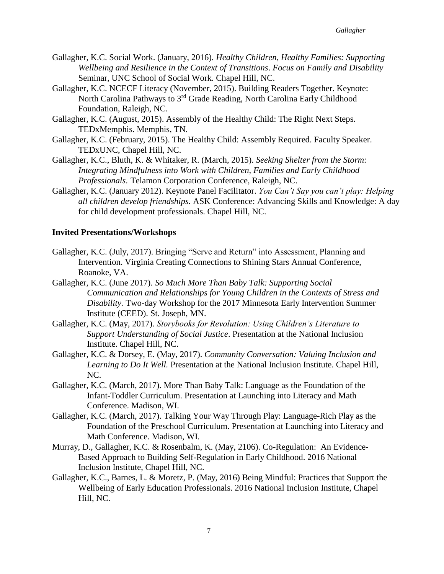- Gallagher, K.C. Social Work. (January, 2016). *Healthy Children, Healthy Families: Supporting Wellbeing and Resilience in the Context of Transitions*. *Focus on Family and Disability* Seminar, UNC School of Social Work. Chapel Hill, NC.
- Gallagher, K.C. NCECF Literacy (November, 2015). Building Readers Together. Keynote: North Carolina Pathways to 3<sup>rd</sup> Grade Reading, North Carolina Early Childhood Foundation, Raleigh, NC.
- Gallagher, K.C. (August, 2015). Assembly of the Healthy Child: The Right Next Steps. TEDxMemphis. Memphis, TN.
- Gallagher, K.C. (February, 2015). The Healthy Child: Assembly Required. Faculty Speaker. TEDxUNC, Chapel Hill, NC.
- Gallagher, K.C., Bluth, K. & Whitaker, R. (March, 2015). *Seeking Shelter from the Storm: Integrating Mindfulness into Work with Children, Families and Early Childhood Professionals*. Telamon Corporation Conference, Raleigh, NC.
- Gallagher, K.C. (January 2012). Keynote Panel Facilitator. *You Can't Say you can't play: Helping all children develop friendships.* ASK Conference: Advancing Skills and Knowledge: A day for child development professionals. Chapel Hill, NC.

## **Invited Presentations/Workshops**

- Gallagher, K.C. (July, 2017). Bringing "Serve and Return" into Assessment, Planning and Intervention. Virginia Creating Connections to Shining Stars Annual Conference, Roanoke, VA.
- Gallagher, K.C. (June 2017). *So Much More Than Baby Talk: Supporting Social Communication and Relationships for Young Children in the Contexts of Stress and Disability.* Two-day Workshop for the 2017 Minnesota Early Intervention Summer Institute (CEED). St. Joseph, MN.
- Gallagher, K.C. (May, 2017). *Storybooks for Revolution: Using Children's Literature to Support Understanding of Social Justice*. Presentation at the National Inclusion Institute. Chapel Hill, NC.
- Gallagher, K.C. & Dorsey, E. (May, 2017). *Community Conversation: Valuing Inclusion and Learning to Do It Well.* Presentation at the National Inclusion Institute. Chapel Hill, NC.
- Gallagher, K.C. (March, 2017). More Than Baby Talk: Language as the Foundation of the Infant-Toddler Curriculum. Presentation at Launching into Literacy and Math Conference. Madison, WI.
- Gallagher, K.C. (March, 2017). Talking Your Way Through Play: Language-Rich Play as the Foundation of the Preschool Curriculum. Presentation at Launching into Literacy and Math Conference. Madison, WI.
- Murray, D., Gallagher, K.C. & Rosenbalm, K. (May, 2106). Co-Regulation: An Evidence-Based Approach to Building Self-Regulation in Early Childhood. 2016 National Inclusion Institute, Chapel Hill, NC.
- Gallagher, K.C., Barnes, L. & Moretz, P. (May, 2016) Being Mindful: Practices that Support the Wellbeing of Early Education Professionals. 2016 National Inclusion Institute, Chapel Hill, NC.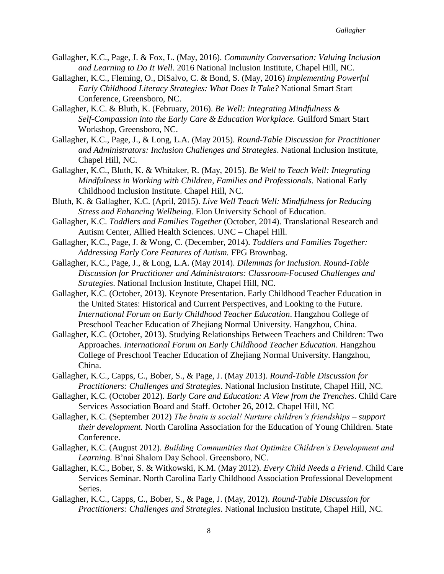- Gallagher, K.C., Page, J. & Fox, L. (May, 2016). *Community Conversation: Valuing Inclusion and Learning to Do It Well*. 2016 National Inclusion Institute, Chapel Hill, NC.
- Gallagher, K.C., Fleming, O., DiSalvo, C. & Bond, S. (May, 2016) *Implementing Powerful Early Childhood Literacy Strategies: What Does It Take?* National Smart Start Conference, Greensboro, NC.
- Gallagher, K.C. & Bluth, K. (February, 2016). *Be Well: Integrating Mindfulness & Self-Compassion into the Early Care & Education Workplace.* Guilford Smart Start Workshop, Greensboro, NC.
- Gallagher, K.C., Page, J., & Long, L.A. (May 2015). *Round-Table Discussion for Practitioner and Administrators: Inclusion Challenges and Strategies*. National Inclusion Institute, Chapel Hill, NC.
- Gallagher, K.C., Bluth, K. & Whitaker, R. (May, 2015). *Be Well to Teach Well: Integrating Mindfulness in Working with Children, Families and Professionals.* National Early Childhood Inclusion Institute. Chapel Hill, NC.
- Bluth, K. & Gallagher, K.C. (April, 2015). *Live Well Teach Well: Mindfulness for Reducing Stress and Enhancing Wellbeing.* Elon University School of Education.
- Gallagher, K.C. *Toddlers and Families Together* (October, 2014). Translational Research and Autism Center, Allied Health Sciences. UNC – Chapel Hill.
- Gallagher, K.C., Page, J. & Wong, C. (December, 2014). *Toddlers and Families Together: Addressing Early Core Features of Autism.* FPG Brownbag.
- Gallagher, K.C., Page, J., & Long, L.A. (May 2014). *Dilemmas for Inclusion. Round-Table Discussion for Practitioner and Administrators: Classroom-Focused Challenges and Strategies*. National Inclusion Institute, Chapel Hill, NC.
- Gallagher, K.C. (October, 2013). Keynote Presentation. Early Childhood Teacher Education in the United States: Historical and Current Perspectives, and Looking to the Future. *International Forum on Early Childhood Teacher Education*. Hangzhou College of Preschool Teacher Education of Zhejiang Normal University. Hangzhou, China.
- Gallagher, K.C. (October, 2013). Studying Relationships Between Teachers and Children: Two Approaches. *International Forum on Early Childhood Teacher Education*. Hangzhou College of Preschool Teacher Education of Zhejiang Normal University. Hangzhou, China.
- Gallagher, K.C., Capps, C., Bober, S., & Page, J. (May 2013). *Round-Table Discussion for Practitioners: Challenges and Strategies*. National Inclusion Institute, Chapel Hill, NC.
- Gallagher, K.C. (October 2012). *Early Care and Education: A View from the Trenches*. Child Care Services Association Board and Staff. October 26, 2012. Chapel Hill, NC
- Gallagher, K.C. (September 2012) *The brain is social! Nurture children's friendships – support their development.* North Carolina Association for the Education of Young Children. State Conference.
- Gallagher, K.C. (August 2012). *Building Communities that Optimize Children's Development and Learning.* B'nai Shalom Day School. Greensboro, NC.
- Gallagher, K.C., Bober, S. & Witkowski, K.M. (May 2012). *Every Child Needs a Friend*. Child Care Services Seminar. North Carolina Early Childhood Association Professional Development Series.
- Gallagher, K.C., Capps, C., Bober, S., & Page, J. (May, 2012). *Round-Table Discussion for Practitioners: Challenges and Strategies*. National Inclusion Institute, Chapel Hill, NC.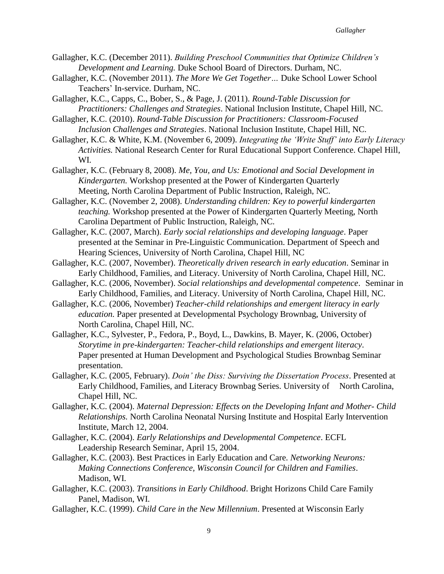- Gallagher, K.C. (December 2011). *Building Preschool Communities that Optimize Children's Development and Learning.* Duke School Board of Directors. Durham, NC.
- Gallagher, K.C. (November 2011). *The More We Get Together…* Duke School Lower School Teachers' In-service. Durham, NC.
- Gallagher, K.C., Capps, C., Bober, S., & Page, J. (2011). *Round-Table Discussion for Practitioners: Challenges and Strategies*. National Inclusion Institute, Chapel Hill, NC.
- Gallagher, K.C. (2010). *Round-Table Discussion for Practitioners: Classroom-Focused Inclusion Challenges and Strategies*. National Inclusion Institute, Chapel Hill, NC.
- Gallagher, K.C. & White, K.M. (November 6, 2009). *Integrating the 'Write Stuff' into Early Literacy Activities.* National Research Center for Rural Educational Support Conference. Chapel Hill, WI.
- Gallagher, K.C. (February 8, 2008). *Me, You, and Us: Emotional and Social Development in Kindergarten.* Workshop presented at the Power of Kindergarten Quarterly Meeting, North Carolina Department of Public Instruction, Raleigh, NC.
- Gallagher, K.C. (November 2, 2008). *Understanding children: Key to powerful kindergarten teaching.* Workshop presented at the Power of Kindergarten Quarterly Meeting, North Carolina Department of Public Instruction, Raleigh, NC.
- Gallagher, K.C. (2007, March). *Early social relationships and developing language*. Paper presented at the Seminar in Pre-Linguistic Communication. Department of Speech and Hearing Sciences, University of North Carolina, Chapel Hill, NC
- Gallagher, K.C. (2007, November). *Theoretically driven research in early education*. Seminar in Early Childhood, Families, and Literacy. University of North Carolina, Chapel Hill, NC.
- Gallagher, K.C. (2006, November). *Social relationships and developmental competence*. Seminar in Early Childhood, Families, and Literacy. University of North Carolina, Chapel Hill, NC.
- Gallagher, K.C. (2006, November) *Teacher-child relationships and emergent literacy in early education.* Paper presented at Developmental Psychology Brownbag, University of North Carolina, Chapel Hill, NC.
- Gallagher, K.C., Sylvester, P., Fedora, P., Boyd, L., Dawkins, B. Mayer, K. (2006, October) *Storytime in pre-kindergarten: Teacher-child relationships and emergent literacy*. Paper presented at Human Development and Psychological Studies Brownbag Seminar presentation.
- Gallagher, K.C. (2005, February). *Doin' the Diss: Surviving the Dissertation Process*. Presented at Early Childhood, Families, and Literacy Brownbag Series. University of North Carolina, Chapel Hill, NC.
- Gallagher, K.C. (2004). *Maternal Depression: Effects on the Developing Infant and Mother- Child Relationships.* North Carolina Neonatal Nursing Institute and Hospital Early Intervention Institute, March 12, 2004.
- Gallagher, K.C. (2004). *Early Relationships and Developmental Competence*. ECFL Leadership Research Seminar, April 15, 2004.
- Gallagher, K.C. (2003). Best Practices in Early Education and Care. *Networking Neurons: Making Connections Conference, Wisconsin Council for Children and Families*. Madison, WI.
- Gallagher, K.C. (2003). *Transitions in Early Childhood*. Bright Horizons Child Care Family Panel, Madison, WI.
- Gallagher, K.C. (1999). *Child Care in the New Millennium*. Presented at Wisconsin Early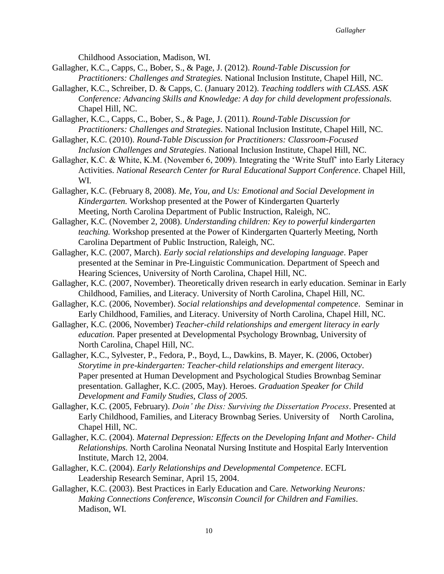Childhood Association, Madison, WI.

- Gallagher, K.C., Capps, C., Bober, S., & Page, J. (2012). *Round-Table Discussion for Practitioners: Challenges and Strategies.* National Inclusion Institute, Chapel Hill, NC.
- Gallagher, K.C., Schreiber, D. & Capps, C. (January 2012). *Teaching toddlers with CLASS. ASK Conference: Advancing Skills and Knowledge: A day for child development professionals.* Chapel Hill, NC.

Gallagher, K.C., Capps, C., Bober, S., & Page, J. (2011). *Round-Table Discussion for Practitioners: Challenges and Strategies*. National Inclusion Institute, Chapel Hill, NC.

Gallagher, K.C. (2010). *Round-Table Discussion for Practitioners: Classroom-Focused Inclusion Challenges and Strategies*. National Inclusion Institute, Chapel Hill, NC.

Gallagher, K.C. & White, K.M. (November 6, 2009). Integrating the 'Write Stuff' into Early Literacy Activities. *National Research Center for Rural Educational Support Conference*. Chapel Hill, WI.

Gallagher, K.C. (February 8, 2008). *Me, You, and Us: Emotional and Social Development in Kindergarten.* Workshop presented at the Power of Kindergarten Quarterly Meeting, North Carolina Department of Public Instruction, Raleigh, NC.

Gallagher, K.C. (November 2, 2008). *Understanding children: Key to powerful kindergarten teaching.* Workshop presented at the Power of Kindergarten Quarterly Meeting, North Carolina Department of Public Instruction, Raleigh, NC.

Gallagher, K.C. (2007, March). *Early social relationships and developing language*. Paper presented at the Seminar in Pre-Linguistic Communication. Department of Speech and Hearing Sciences, University of North Carolina, Chapel Hill, NC.

- Gallagher, K.C. (2007, November). Theoretically driven research in early education. Seminar in Early Childhood, Families, and Literacy. University of North Carolina, Chapel Hill, NC.
- Gallagher, K.C. (2006, November). *Social relationships and developmental competence*. Seminar in Early Childhood, Families, and Literacy. University of North Carolina, Chapel Hill, NC.
- Gallagher, K.C. (2006, November) *Teacher-child relationships and emergent literacy in early education.* Paper presented at Developmental Psychology Brownbag, University of North Carolina, Chapel Hill, NC.
- Gallagher, K.C., Sylvester, P., Fedora, P., Boyd, L., Dawkins, B. Mayer, K. (2006, October) *Storytime in pre-kindergarten: Teacher-child relationships and emergent literacy*. Paper presented at Human Development and Psychological Studies Brownbag Seminar presentation. Gallagher, K.C. (2005, May). Heroes. *Graduation Speaker for Child Development and Family Studies, Class of 2005.*
- Gallagher, K.C. (2005, February). *Doin' the Diss: Surviving the Dissertation Process*. Presented at Early Childhood, Families, and Literacy Brownbag Series. University of North Carolina, Chapel Hill, NC.
- Gallagher, K.C. (2004). *Maternal Depression: Effects on the Developing Infant and Mother- Child Relationships.* North Carolina Neonatal Nursing Institute and Hospital Early Intervention Institute, March 12, 2004.
- Gallagher, K.C. (2004). *Early Relationships and Developmental Competence*. ECFL Leadership Research Seminar, April 15, 2004.
- Gallagher, K.C. (2003). Best Practices in Early Education and Care. *Networking Neurons: Making Connections Conference, Wisconsin Council for Children and Families*. Madison, WI.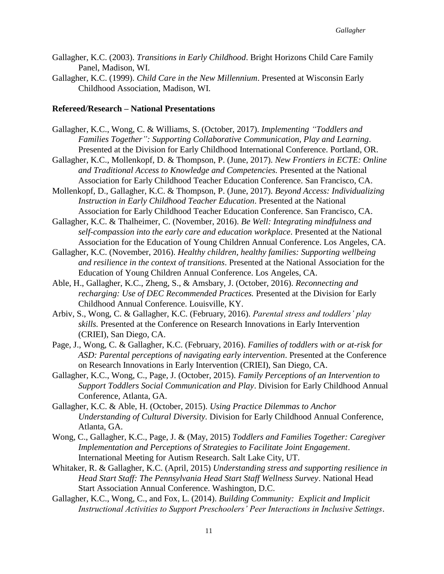- Gallagher, K.C. (2003). *Transitions in Early Childhood*. Bright Horizons Child Care Family Panel, Madison, WI.
- Gallagher, K.C. (1999). *Child Care in the New Millennium*. Presented at Wisconsin Early Childhood Association, Madison, WI.

#### **Refereed/Research – National Presentations**

- Gallagher, K.C., Wong, C. & Williams, S. (October, 2017). *Implementing "Toddlers and Families Together": Supporting Collaborative Communication, Play and Learning*. Presented at the Division for Early Childhood International Conference. Portland, OR.
- Gallagher, K.C., Mollenkopf, D. & Thompson, P. (June, 2017). *New Frontiers in ECTE: Online and Traditional Access to Knowledge and Competencies.* Presented at the National Association for Early Childhood Teacher Education Conference. San Francisco, CA.
- Mollenkopf, D., Gallagher, K.C. & Thompson, P. (June, 2017). *Beyond Access: Individualizing Instruction in Early Childhood Teacher Education*. Presented at the National Association for Early Childhood Teacher Education Conference. San Francisco, CA.
- Gallagher, K.C. & Thalheimer, C. (November, 2016). *Be Well: Integrating mindfulness and self-compassion into the early care and education workplace*. Presented at the National Association for the Education of Young Children Annual Conference. Los Angeles, CA.
- Gallagher, K.C. (November, 2016). *Healthy children, healthy families: Supporting wellbeing and resilience in the context of transitions*. Presented at the National Association for the Education of Young Children Annual Conference. Los Angeles, CA.
- Able, H., Gallagher, K.C., Zheng, S., & Amsbary, J. (October, 2016). *Reconnecting and recharging: Use of DEC Recommended Practices.* Presented at the Division for Early Childhood Annual Conference. Louisville, KY.
- Arbiv, S., Wong, C. & Gallagher, K.C. (February, 2016). *Parental stress and toddlers' play skills.* Presented at the Conference on Research Innovations in Early Intervention (CRIEI), San Diego, CA.
- Page, J., Wong, C. & Gallagher, K.C. (February, 2016). *Families of toddlers with or at-risk for ASD: Parental perceptions of navigating early intervention*. Presented at the Conference on Research Innovations in Early Intervention (CRIEI), San Diego, CA.
- Gallagher, K.C., Wong, C., Page, J. (October, 2015). *Family Perceptions of an Intervention to Support Toddlers Social Communication and Play*. Division for Early Childhood Annual Conference, Atlanta, GA.
- Gallagher, K.C. & Able, H. (October, 2015). *Using Practice Dilemmas to Anchor Understanding of Cultural Diversity.* Division for Early Childhood Annual Conference, Atlanta, GA.
- Wong, C., Gallagher, K.C., Page, J. & (May, 2015) *Toddlers and Families Together: Caregiver Implementation and Perceptions of Strategies to Facilitate Joint Engagement*. International Meeting for Autism Research. Salt Lake City, UT.
- Whitaker, R. & Gallagher, K.C. (April, 2015) *Understanding stress and supporting resilience in Head Start Staff: The Pennsylvania Head Start Staff Wellness Survey*. National Head Start Association Annual Conference. Washington, D.C.
- Gallagher, K.C., Wong, C., and Fox, L. (2014). *Building Community: Explicit and Implicit Instructional Activities to Support Preschoolers' Peer Interactions in Inclusive Settings*.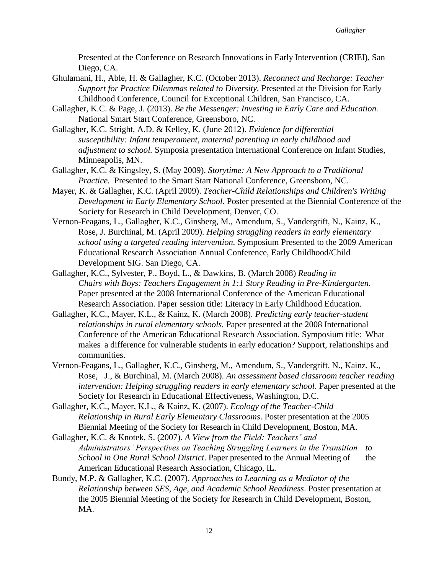Presented at the Conference on Research Innovations in Early Intervention (CRIEI), San Diego, CA.

- Ghulamani, H., Able, H. & Gallagher, K.C. (October 2013). *Reconnect and Recharge: Teacher Support for Practice Dilemmas related to Diversity.* Presented at the Division for Early Childhood Conference, Council for Exceptional Children, San Francisco, CA.
- Gallagher, K.C. & Page, J. (2013). *Be the Messenger: Investing in Early Care and Education.* National Smart Start Conference, Greensboro, NC.
- Gallagher, K.C. Stright, A.D. & Kelley, K. (June 2012). *Evidence for differential susceptibility: Infant temperament, maternal parenting in early childhood and adjustment to school.* Symposia presentation International Conference on Infant Studies, Minneapolis, MN.
- Gallagher, K.C. & Kingsley, S. (May 2009). *Storytime: A New Approach to a Traditional Practice.* Presented to the Smart Start National Conference, Greensboro, NC.
- Mayer, K. & Gallagher, K.C. (April 2009). *Teacher-Child Relationships and Children's Writing Development in Early Elementary School.* Poster presented at the Biennial Conference of the Society for Research in Child Development, Denver, CO.
- Vernon-Feagans, L., Gallagher, K.C., Ginsberg, M., Amendum, S., Vandergrift, N., Kainz, K., Rose, J. Burchinal, M. (April 2009). *Helping struggling readers in early elementary school using a targeted reading intervention.* Symposium Presented to the 2009 American Educational Research Association Annual Conference, Early Childhood/Child Development SIG. San Diego, CA.
- Gallagher, K.C., Sylvester, P., Boyd, L., & Dawkins, B. (March 2008) *Reading in Chairs with Boys: Teachers Engagement in 1:1 Story Reading in Pre-Kindergarten*. Paper presented at the 2008 International Conference of the American Educational Research Association. Paper session title: Literacy in Early Childhood Education.
- Gallagher, K.C., Mayer, K.L., & Kainz, K. (March 2008). *Predicting early teacher-student relationships in rural elementary schools.* Paper presented at the 2008 International Conference of the American Educational Research Association. Symposium title: What makes a difference for vulnerable students in early education? Support, relationships and communities.
- Vernon-Feagans, L., Gallagher, K.C., Ginsberg, M., Amendum, S., Vandergrift, N., Kainz, K., Rose, J., & Burchinal, M. (March 2008). *An assessment based classroom teacher reading intervention: Helping struggling readers in early elementary school*. Paper presented at the Society for Research in Educational Effectiveness, Washington, D.C.
- Gallagher, K.C., Mayer, K.L., & Kainz, K. (2007). *Ecology of the Teacher-Child Relationship in Rural Early Elementary Classrooms*. Poster presentation at the 2005 Biennial Meeting of the Society for Research in Child Development, Boston, MA.
- Gallagher, K.C. & Knotek, S. (2007). *A View from the Field: Teachers' and Administrators' Perspectives on Teaching Struggling Learners in the Transition to School in One Rural School District*. Paper presented to the Annual Meeting of the American Educational Research Association, Chicago, IL.
- Bundy, M.P. & Gallagher, K.C. (2007). *Approaches to Learning as a Mediator of the Relationship between SES, Age, and Academic School Readiness*. Poster presentation at the 2005 Biennial Meeting of the Society for Research in Child Development, Boston, MA.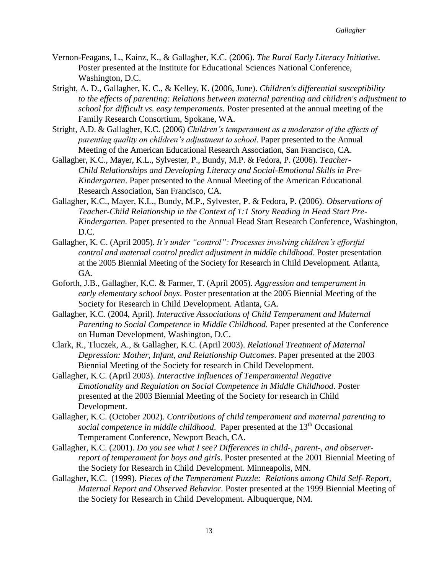- Vernon-Feagans, L., Kainz, K., & Gallagher, K.C. (2006). *The Rural Early Literacy Initiative*. Poster presented at the Institute for Educational Sciences National Conference, Washington, D.C.
- Stright, A. D., Gallagher, K. C., & Kelley, K. (2006, June). *Children's differential susceptibility to the effects of parenting: Relations between maternal parenting and children's adjustment to school for difficult vs. easy temperaments.* Poster presented at the annual meeting of the Family Research Consortium, Spokane, WA.
- Stright, A.D. & Gallagher, K.C. (2006) *Children's temperament as a moderator of the effects of parenting quality on children's adjustment to school*. Paper presented to the Annual Meeting of the American Educational Research Association, San Francisco, CA.
- Gallagher, K.C., Mayer, K.L., Sylvester, P., Bundy, M.P. & Fedora, P. (2006)*. Teacher-Child Relationships and Developing Literacy and Social-Emotional Skills in Pre-Kindergarten*. Paper presented to the Annual Meeting of the American Educational Research Association, San Francisco, CA.
- Gallagher, K.C., Mayer, K.L., Bundy, M.P., Sylvester, P. & Fedora, P. (2006). *Observations of Teacher-Child Relationship in the Context of 1:1 Story Reading in Head Start Pre-Kindergarten.* Paper presented to the Annual Head Start Research Conference, Washington, D.C.
- Gallagher, K. C. (April 2005). *It's under "control": Processes involving children's effortful control and maternal control predict adjustment in middle childhood*. Poster presentation at the 2005 Biennial Meeting of the Society for Research in Child Development. Atlanta, GA.
- Goforth, J.B., Gallagher, K.C. & Farmer, T. (April 2005). *Aggression and temperament in early elementary school boys*. Poster presentation at the 2005 Biennial Meeting of the Society for Research in Child Development. Atlanta, GA.
- Gallagher, K.C. (2004, April). *Interactive Associations of Child Temperament and Maternal Parenting to Social Competence in Middle Childhood.* Paper presented at the Conference on Human Development, Washington, D.C.
- Clark, R., Tluczek, A., & Gallagher, K.C. (April 2003). *Relational Treatment of Maternal Depression: Mother, Infant, and Relationship Outcomes*. Paper presented at the 2003 Biennial Meeting of the Society for research in Child Development.
- Gallagher, K.C. (April 2003). *Interactive Influences of Temperamental Negative Emotionality and Regulation on Social Competence in Middle Childhood*. Poster presented at the 2003 Biennial Meeting of the Society for research in Child Development.
- Gallagher, K.C. (October 2002). *Contributions of child temperament and maternal parenting to social competence in middle childhood.* Paper presented at the 13<sup>th</sup> Occasional Temperament Conference, Newport Beach, CA.
- Gallagher, K.C. (2001). *Do you see what I see? Differences in child-, parent-, and observerreport of temperament for boys and girls*. Poster presented at the 2001 Biennial Meeting of the Society for Research in Child Development. Minneapolis, MN.
- Gallagher, K.C. (1999). *Pieces of the Temperament Puzzle: Relations among Child Self- Report, Maternal Report and Observed Behavior.* Poster presented at the 1999 Biennial Meeting of the Society for Research in Child Development. Albuquerque, NM.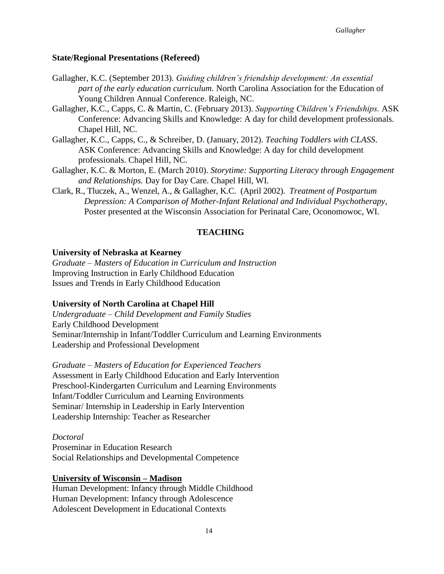# **State/Regional Presentations (Refereed)**

- Gallagher, K.C. (September 2013). *Guiding children's friendship development: An essential part of the early education curriculum.* North Carolina Association for the Education of Young Children Annual Conference. Raleigh, NC.
- Gallagher, K.C., Capps, C. & Martin, C. (February 2013). *Supporting Children's Friendships.* ASK Conference: Advancing Skills and Knowledge: A day for child development professionals. Chapel Hill, NC.
- Gallagher, K.C., Capps, C., & Schreiber, D. (January, 2012). *Teaching Toddlers with CLASS*. ASK Conference: Advancing Skills and Knowledge: A day for child development professionals. Chapel Hill, NC.
- Gallagher, K.C. & Morton, E. (March 2010). *Storytime: Supporting Literacy through Engagement and Relationships.* Day for Day Care. Chapel Hill, WI.
- Clark, R., Tluczek, A., Wenzel, A., & Gallagher, K.C. (April 2002). *Treatment of Postpartum Depression: A Comparison of Mother-Infant Relational and Individual Psychotherapy*, Poster presented at the Wisconsin Association for Perinatal Care, Oconomowoc, WI.

# **TEACHING**

## **University of Nebraska at Kearney**

*Graduate – Masters of Education in Curriculum and Instruction* Improving Instruction in Early Childhood Education Issues and Trends in Early Childhood Education

# **University of North Carolina at Chapel Hill**

*Undergraduate – Child Development and Family Studies* Early Childhood Development Seminar/Internship in Infant/Toddler Curriculum and Learning Environments Leadership and Professional Development

*Graduate – Masters of Education for Experienced Teachers* Assessment in Early Childhood Education and Early Intervention Preschool-Kindergarten Curriculum and Learning Environments Infant/Toddler Curriculum and Learning Environments Seminar/ Internship in Leadership in Early Intervention Leadership Internship: Teacher as Researcher

## *Doctoral*

Proseminar in Education Research Social Relationships and Developmental Competence

# **University of Wisconsin – Madison**

Human Development: Infancy through Middle Childhood Human Development: Infancy through Adolescence Adolescent Development in Educational Contexts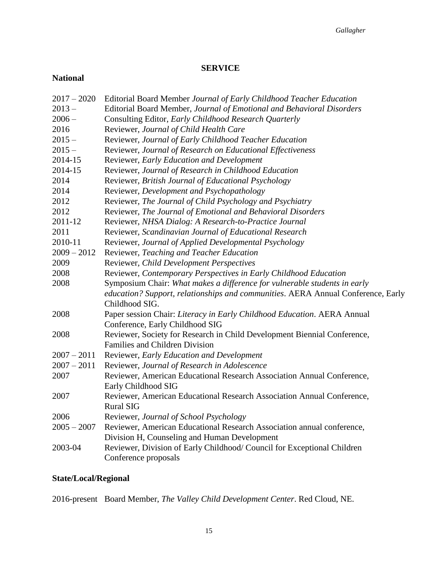# **SERVICE**

# **National**

| $2017 - 2020$ | Editorial Board Member Journal of Early Childhood Teacher Education              |
|---------------|----------------------------------------------------------------------------------|
| $2013 -$      | Editorial Board Member, Journal of Emotional and Behavioral Disorders            |
| $2006 -$      | Consulting Editor, Early Childhood Research Quarterly                            |
| 2016          | Reviewer, Journal of Child Health Care                                           |
| $2015 -$      | Reviewer, Journal of Early Childhood Teacher Education                           |
| $2015 -$      | Reviewer, Journal of Research on Educational Effectiveness                       |
| 2014-15       | Reviewer, Early Education and Development                                        |
| 2014-15       | Reviewer, Journal of Research in Childhood Education                             |
| 2014          | Reviewer, British Journal of Educational Psychology                              |
| 2014          | Reviewer, Development and Psychopathology                                        |
| 2012          | Reviewer, The Journal of Child Psychology and Psychiatry                         |
| 2012          | Reviewer, The Journal of Emotional and Behavioral Disorders                      |
| 2011-12       | Reviewer, NHSA Dialog: A Research-to-Practice Journal                            |
| 2011          | Reviewer, Scandinavian Journal of Educational Research                           |
| 2010-11       | Reviewer, Journal of Applied Developmental Psychology                            |
| $2009 - 2012$ | Reviewer, Teaching and Teacher Education                                         |
| 2009          | Reviewer, Child Development Perspectives                                         |
| 2008          | Reviewer, Contemporary Perspectives in Early Childhood Education                 |
| 2008          | Symposium Chair: What makes a difference for vulnerable students in early        |
|               | education? Support, relationships and communities. AERA Annual Conference, Early |
|               | Childhood SIG.                                                                   |
| 2008          | Paper session Chair: Literacy in Early Childhood Education. AERA Annual          |
|               | Conference, Early Childhood SIG                                                  |
| 2008          | Reviewer, Society for Research in Child Development Biennial Conference,         |
|               | Families and Children Division                                                   |
| $2007 - 2011$ | Reviewer, Early Education and Development                                        |
| $2007 - 2011$ | Reviewer, Journal of Research in Adolescence                                     |
| 2007          | Reviewer, American Educational Research Association Annual Conference,           |
|               | Early Childhood SIG                                                              |
| 2007          | Reviewer, American Educational Research Association Annual Conference,           |
|               | <b>Rural SIG</b>                                                                 |
| 2006          | Reviewer, Journal of School Psychology                                           |
| $2005 - 2007$ | Reviewer, American Educational Research Association annual conference,           |
|               | Division H, Counseling and Human Development                                     |
| 2003-04       | Reviewer, Division of Early Childhood/ Council for Exceptional Children          |
|               | Conference proposals                                                             |

# **State/Local/Regional**

2016-present Board Member, *The Valley Child Development Center*. Red Cloud, NE.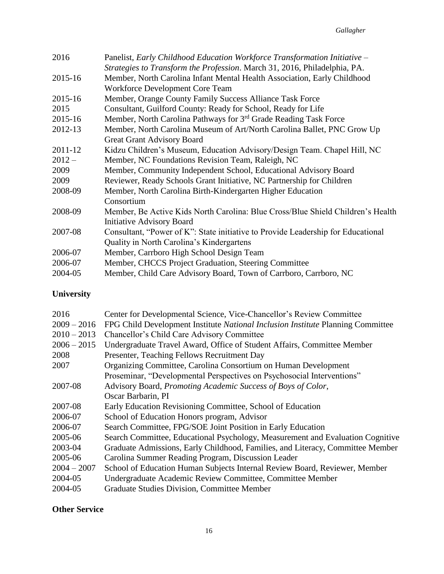| 2016     | Panelist, Early Childhood Education Workforce Transformation Initiative -                                                                             |
|----------|-------------------------------------------------------------------------------------------------------------------------------------------------------|
| 2015-16  | Strategies to Transform the Profession. March 31, 2016, Philadelphia, PA.<br>Member, North Carolina Infant Mental Health Association, Early Childhood |
|          | Workforce Development Core Team                                                                                                                       |
| 2015-16  | Member, Orange County Family Success Alliance Task Force                                                                                              |
| 2015     | Consultant, Guilford County: Ready for School, Ready for Life                                                                                         |
| 2015-16  | Member, North Carolina Pathways for 3 <sup>rd</sup> Grade Reading Task Force                                                                          |
| 2012-13  | Member, North Carolina Museum of Art/North Carolina Ballet, PNC Grow Up                                                                               |
|          | <b>Great Grant Advisory Board</b>                                                                                                                     |
| 2011-12  | Kidzu Children's Museum, Education Advisory/Design Team. Chapel Hill, NC                                                                              |
| $2012 -$ | Member, NC Foundations Revision Team, Raleigh, NC                                                                                                     |
| 2009     | Member, Community Independent School, Educational Advisory Board                                                                                      |
| 2009     | Reviewer, Ready Schools Grant Initiative, NC Partnership for Children                                                                                 |
| 2008-09  | Member, North Carolina Birth-Kindergarten Higher Education                                                                                            |
|          | Consortium                                                                                                                                            |
| 2008-09  | Member, Be Active Kids North Carolina: Blue Cross/Blue Shield Children's Health                                                                       |
|          | <b>Initiative Advisory Board</b>                                                                                                                      |
| 2007-08  | Consultant, "Power of K": State initiative to Provide Leadership for Educational                                                                      |
|          | Quality in North Carolina's Kindergartens                                                                                                             |
| 2006-07  | Member, Carrboro High School Design Team                                                                                                              |
| 2006-07  | Member, CHCCS Project Graduation, Steering Committee                                                                                                  |
| 2004-05  | Member, Child Care Advisory Board, Town of Carrboro, Carrboro, NC                                                                                     |
|          |                                                                                                                                                       |

# **University**

| 2016          | Center for Developmental Science, Vice-Chancellor's Review Committee            |
|---------------|---------------------------------------------------------------------------------|
| $2009 - 2016$ | FPG Child Development Institute National Inclusion Institute Planning Committee |
| $2010 - 2013$ | <b>Chancellor's Child Care Advisory Committee</b>                               |
| $2006 - 2015$ | Undergraduate Travel Award, Office of Student Affairs, Committee Member         |
| 2008          | Presenter, Teaching Fellows Recruitment Day                                     |
| 2007          | Organizing Committee, Carolina Consortium on Human Development                  |
|               | Proseminar, "Developmental Perspectives on Psychosocial Interventions"          |
| 2007-08       | Advisory Board, Promoting Academic Success of Boys of Color,                    |
|               | Oscar Barbarin, PI                                                              |
| 2007-08       | Early Education Revisioning Committee, School of Education                      |
| 2006-07       | School of Education Honors program, Advisor                                     |
| 2006-07       | Search Committee, FPG/SOE Joint Position in Early Education                     |
| 2005-06       | Search Committee, Educational Psychology, Measurement and Evaluation Cognitive  |
| 2003-04       | Graduate Admissions, Early Childhood, Families, and Literacy, Committee Member  |
| 2005-06       | Carolina Summer Reading Program, Discussion Leader                              |
| $2004 - 2007$ | School of Education Human Subjects Internal Review Board, Reviewer, Member      |
| 2004-05       | Undergraduate Academic Review Committee, Committee Member                       |
| 2004-05       | <b>Graduate Studies Division, Committee Member</b>                              |
|               |                                                                                 |

# **Other Service**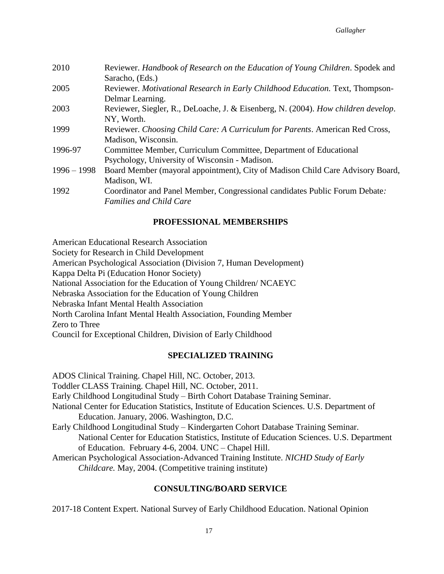| 2010          | Reviewer. Handbook of Research on the Education of Young Children. Spodek and<br>Saracho, (Eds.)                    |
|---------------|---------------------------------------------------------------------------------------------------------------------|
| 2005          | Reviewer. Motivational Research in Early Childhood Education. Text, Thompson-<br>Delmar Learning.                   |
| 2003          | Reviewer, Siegler, R., DeLoache, J. & Eisenberg, N. (2004). How children develop.<br>NY, Worth.                     |
| 1999          | Reviewer. Choosing Child Care: A Curriculum for Parents. American Red Cross,<br>Madison, Wisconsin.                 |
| 1996-97       | Committee Member, Curriculum Committee, Department of Educational<br>Psychology, University of Wisconsin - Madison. |
| $1996 - 1998$ | Board Member (mayoral appointment), City of Madison Child Care Advisory Board,<br>Madison, WI.                      |
| 1992          | Coordinator and Panel Member, Congressional candidates Public Forum Debate:<br><b>Families and Child Care</b>       |

# **PROFESSIONAL MEMBERSHIPS**

American Educational Research Association

Society for Research in Child Development

American Psychological Association (Division 7, Human Development)

Kappa Delta Pi (Education Honor Society)

National Association for the Education of Young Children/ NCAEYC

Nebraska Association for the Education of Young Children

Nebraska Infant Mental Health Association

North Carolina Infant Mental Health Association, Founding Member

Zero to Three

Council for Exceptional Children, Division of Early Childhood

# **SPECIALIZED TRAINING**

ADOS Clinical Training. Chapel Hill, NC. October, 2013. Toddler CLASS Training. Chapel Hill, NC. October, 2011. Early Childhood Longitudinal Study – Birth Cohort Database Training Seminar. National Center for Education Statistics, Institute of Education Sciences. U.S. Department of Education. January, 2006. Washington, D.C. Early Childhood Longitudinal Study – Kindergarten Cohort Database Training Seminar. National Center for Education Statistics, Institute of Education Sciences. U.S. Department of Education. February 4-6, 2004. UNC – Chapel Hill. American Psychological Association-Advanced Training Institute. *NICHD Study of Early Childcare.* May, 2004. (Competitive training institute)

# **CONSULTING/BOARD SERVICE**

2017-18 Content Expert. National Survey of Early Childhood Education. National Opinion